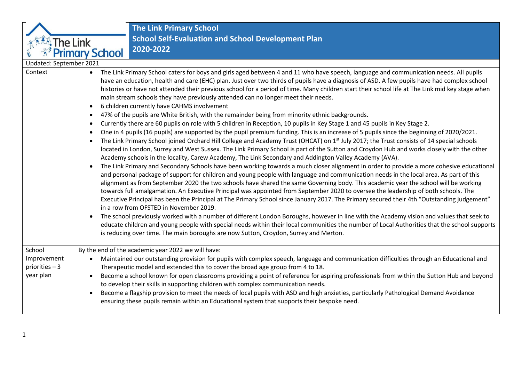

**The Link Primary School School Self-Evaluation and School Development Plan 2020-2022**

| Updated: September 2021                                                                                                                                                                                                                                                                                                                                                                                                                                                                                                                                                                                                                                                                                                                                                                                                                                                                                                                                                                                                                                                                                                                                                                                                                                                                                                                                                                                                                                                                                                                                                                                                                                                                                                                                                                                                                                                                                                                                                                                                                                                                                                                                                                                                                                                                                                                                                                                                                                                                                                                                                                                                         |
|---------------------------------------------------------------------------------------------------------------------------------------------------------------------------------------------------------------------------------------------------------------------------------------------------------------------------------------------------------------------------------------------------------------------------------------------------------------------------------------------------------------------------------------------------------------------------------------------------------------------------------------------------------------------------------------------------------------------------------------------------------------------------------------------------------------------------------------------------------------------------------------------------------------------------------------------------------------------------------------------------------------------------------------------------------------------------------------------------------------------------------------------------------------------------------------------------------------------------------------------------------------------------------------------------------------------------------------------------------------------------------------------------------------------------------------------------------------------------------------------------------------------------------------------------------------------------------------------------------------------------------------------------------------------------------------------------------------------------------------------------------------------------------------------------------------------------------------------------------------------------------------------------------------------------------------------------------------------------------------------------------------------------------------------------------------------------------------------------------------------------------------------------------------------------------------------------------------------------------------------------------------------------------------------------------------------------------------------------------------------------------------------------------------------------------------------------------------------------------------------------------------------------------------------------------------------------------------------------------------------------------|
| The Link Primary School caters for boys and girls aged between 4 and 11 who have speech, language and communication needs. All pupils<br>$\bullet$<br>have an education, health and care (EHC) plan. Just over two thirds of pupils have a diagnosis of ASD. A few pupils have had complex school<br>histories or have not attended their previous school for a period of time. Many children start their school life at The Link mid key stage when<br>main stream schools they have previously attended can no longer meet their needs.<br>6 children currently have CAHMS involvement<br>$\bullet$<br>47% of the pupils are White British, with the remainder being from minority ethnic backgrounds.<br>$\bullet$<br>Currently there are 60 pupils on role with 5 children in Reception, 10 pupils in Key Stage 1 and 45 pupils in Key Stage 2.<br>$\bullet$<br>One in 4 pupils (16 pupils) are supported by the pupil premium funding. This is an increase of 5 pupils since the beginning of 2020/2021.<br>$\bullet$<br>The Link Primary School joined Orchard Hill College and Academy Trust (OHCAT) on 1 <sup>st</sup> July 2017; the Trust consists of 14 special schools<br>$\bullet$<br>located in London, Surrey and West Sussex. The Link Primary School is part of the Sutton and Croydon Hub and works closely with the other<br>Academy schools in the locality, Carew Academy, The Link Secondary and Addington Valley Academy (AVA).<br>The Link Primary and Secondary Schools have been working towards a much closer alignment in order to provide a more cohesive educational<br>$\bullet$<br>and personal package of support for children and young people with language and communication needs in the local area. As part of this<br>alignment as from September 2020 the two schools have shared the same Governing body. This academic year the school will be working<br>towards full amalgamation. An Executive Principal was appointed from September 2020 to oversee the leadership of both schools. The<br>Executive Principal has been the Principal at The Primary School since January 2017. The Primary secured their 4th "Outstanding judgement"<br>in a row from OFSTED in November 2019.<br>The school previously worked with a number of different London Boroughs, however in line with the Academy vision and values that seek to<br>$\bullet$<br>educate children and young people with special needs within their local communities the number of Local Authorities that the school supports<br>is reducing over time. The main boroughs are now Sutton, Croydon, Surrey and Merton. |
| By the end of the academic year 2022 we will have:                                                                                                                                                                                                                                                                                                                                                                                                                                                                                                                                                                                                                                                                                                                                                                                                                                                                                                                                                                                                                                                                                                                                                                                                                                                                                                                                                                                                                                                                                                                                                                                                                                                                                                                                                                                                                                                                                                                                                                                                                                                                                                                                                                                                                                                                                                                                                                                                                                                                                                                                                                              |
| Maintained our outstanding provision for pupils with complex speech, language and communication difficulties through an Educational and<br>$\bullet$<br>Therapeutic model and extended this to cover the broad age group from 4 to 18.<br>Become a school known for open classrooms providing a point of reference for aspiring professionals from within the Sutton Hub and beyond<br>$\bullet$<br>to develop their skills in supporting children with complex communication needs.<br>Become a flagship provision to meet the needs of local pupils with ASD and high anxieties, particularly Pathological Demand Avoidance<br>$\bullet$<br>ensuring these pupils remain within an Educational system that supports their bespoke need.                                                                                                                                                                                                                                                                                                                                                                                                                                                                                                                                                                                                                                                                                                                                                                                                                                                                                                                                                                                                                                                                                                                                                                                                                                                                                                                                                                                                                                                                                                                                                                                                                                                                                                                                                                                                                                                                                       |
|                                                                                                                                                                                                                                                                                                                                                                                                                                                                                                                                                                                                                                                                                                                                                                                                                                                                                                                                                                                                                                                                                                                                                                                                                                                                                                                                                                                                                                                                                                                                                                                                                                                                                                                                                                                                                                                                                                                                                                                                                                                                                                                                                                                                                                                                                                                                                                                                                                                                                                                                                                                                                                 |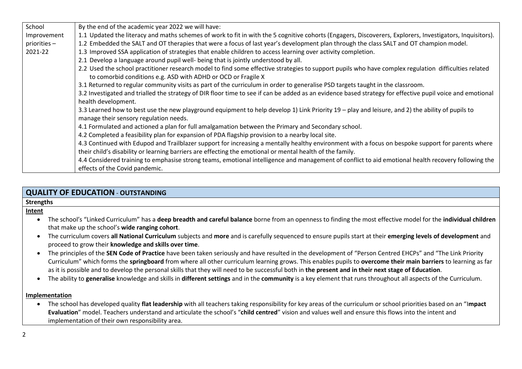| School      | By the end of the academic year 2022 we will have:                                                                                                                                                                    |
|-------------|-----------------------------------------------------------------------------------------------------------------------------------------------------------------------------------------------------------------------|
| Improvement | 1.1 Updated the literacy and maths schemes of work to fit in with the 5 cognitive cohorts (Engagers, Discoverers, Explorers, Investigators, Inquisitors).                                                             |
| priorities- | 1.2 Embedded the SALT and OT therapies that were a focus of last year's development plan through the class SALT and OT champion model.                                                                                |
| 2021-22     | 1.3 Improved SSA application of strategies that enable children to access learning over activity completion.                                                                                                          |
|             | 2.1 Develop a language around pupil well- being that is jointly understood by all.                                                                                                                                    |
|             | 2.2 Used the school practitioner research model to find some effective strategies to support pupils who have complex regulation difficulties related<br>to comorbid conditions e.g. ASD with ADHD or OCD or Fragile X |
|             | 3.1 Returned to regular community visits as part of the curriculum in order to generalise PSD targets taught in the classroom.                                                                                        |
|             | 3.2 Investigated and trialled the strategy of DIR floor time to see if can be added as an evidence based strategy for effective pupil voice and emotional                                                             |
|             | health development.                                                                                                                                                                                                   |
|             | 3.3 Learned how to best use the new playground equipment to help develop 1) Link Priority 19 – play and leisure, and 2) the ability of pupils to<br>manage their sensory regulation needs.                            |
|             | 4.1 Formulated and actioned a plan for full amalgamation between the Primary and Secondary school.                                                                                                                    |
|             | 4.2 Completed a feasibility plan for expansion of PDA flagship provision to a nearby local site.                                                                                                                      |
|             | 4.3 Continued with Edupod and Trailblazer support for increasing a mentally healthy environment with a focus on bespoke support for parents where                                                                     |
|             | their child's disability or learning barriers are effecting the emotional or mental health of the family.                                                                                                             |
|             | 4.4 Considered training to emphasise strong teams, emotional intelligence and management of conflict to aid emotional health recovery following the                                                                   |
|             | effects of the Covid pandemic.                                                                                                                                                                                        |

## **QUALITY OF EDUCATION** - **OUTSTANDING**

### **Strengths**

### **Intent**

- The school's "Linked Curriculum" has a **deep breadth and careful balance** borne from an openness to finding the most effective model for the **individual children** that make up the school's **wide ranging cohort**.
- The curriculum covers **all National Curriculum** subjects and **more** and is carefully sequenced to ensure pupils start at their **emerging levels of development** and proceed to grow their **knowledge and skills over time**.
- The principles of the **SEN Code of Practice** have been taken seriously and have resulted in the development of "Person Centred EHCPs" and "The Link Priority Curriculum" which forms the **springboard** from where all other curriculum learning grows. This enables pupils to **overcome their main barriers** to learning as far as it is possible and to develop the personal skills that they will need to be successful both in **the present and in their next stage of Education**.
- The ability to **generalise** knowledge and skills in **different settings** and in the **community** is a key element that runs throughout all aspects of the Curriculum.

## **Implementation**

 The school has developed quality **flat leadership** with all teachers taking responsibility for key areas of the curriculum or school priorities based on an "I**mpact Evaluation**" model. Teachers understand and articulate the school's "**child centred**" vision and values well and ensure this flows into the intent and implementation of their own responsibility area.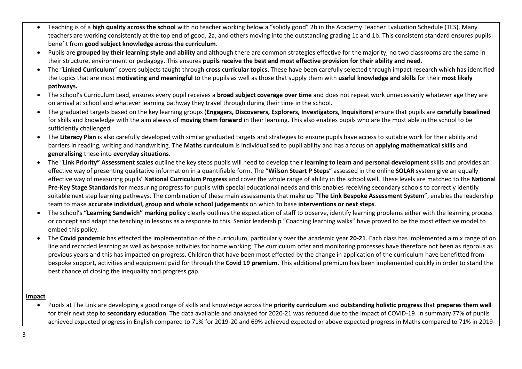- Teaching is of a **high quality across the school** with no teacher working below a "solidly good" 2b in the Academy Teacher Evaluation Schedule (TES). Many teachers are working consistently at the top end of good, 2a, and others moving into the outstanding grading 1c and 1b. This consistent standard ensures pupils benefit from **good subject knowledge across the curriculum**.
- Pupils are **grouped by their learning style and ability** and although there are common strategies effective for the majority, no two classrooms are the same in their structure, environment or pedagogy. This ensures **pupils receive the best and most effective provision for their ability and need**.
- The "**Linked Curriculum**" covers subjects taught through **cross curricular topics**. These have been carefully selected through impact research which has identified the topics that are most **motivating and meaningful** to the pupils as well as those that supply them with **useful knowledge and skills** for their **most likely pathways.**
- The school's Curriculum Lead, ensures every pupil receives a **broad subject coverage over time** and does not repeat work unnecessarily whatever age they are on arrival at school and whatever learning pathway they travel through during their time in the school.
- The graduated targets based on the key learning groups (**Engagers, Discoverers, Explorers, Investigators, Inquisitors**) ensure that pupils are **carefully baselined** for skills and knowledge with the aim always of **moving them forward** in their learning. This also enables pupils who are the most able in the school to be sufficiently challenged.
- The **Literacy Plan** is also carefully developed with similar graduated targets and strategies to ensure pupils have access to suitable work for their ability and barriers in reading, writing and handwriting. The **Maths curriculum** is individualised to pupil ability and has a focus on **applying mathematical skills** and **generalising** these into **everyday situations**.
- The "**Link Priority" Assessment scales** outline the key steps pupils will need to develop their **learning to learn and personal development** skills and provides an effective way of presenting qualitative information in a quantifiable form. The "**Wilson Stuart P Steps**" assessed in the online **SOLAR** system give an equally effective way of measuring pupils' **National Curriculum Progress** and cover the whole range of ability in the school well. These levels are matched to the **National Pre-Key Stage Standards** for measuring progress for pupils with special educational needs and this enables receiving secondary schools to correctly identify suitable next step learning pathways. The combination of these main assessments that make up "**The Link Bespoke Assessment System**", enables the leadership team to make **accurate individual, group and whole school judgements** on which to base **interventions or next steps**.
- The school's **"Learning Sandwich" marking policy** clearly outlines the expectation of staff to observe, identify learning problems either with the learning process or concept and adapt the teaching in lessons as a response to this. Senior leadership "Coaching learning walks" have proved to be the most effective model to embed this policy.
- The **Covid pandemic** has effected the implementation of the curriculum, particularly over the academic year **20-21**. Each class has implemented a mix range of on line and recorded learning as well as bespoke activities for home working. The curriculum offer and monitoring processes have therefore not been as rigorous as previous years and this has impacted on progress. Children that have been most effected by the change in application of the curriculum have benefitted from bespoke support, activities and equipment paid for through the **Covid 19 premium**. This additional premium has been implemented quickly in order to stand the best chance of closing the inequality and progress gap.

## **Impact**

 Pupils at The Link are developing a good range of skills and knowledge across the **priority curriculum** and **outstanding holistic progress** that **prepares them well** for their next step to **secondary education**. The data available and analysed for 2020-21 was reduced due to the impact of COVID-19. In summary 77% of pupils achieved expected progress in English compared to 71% for 2019-20 and 69% achieved expected or above expected progress in Maths compared to 71% in 2019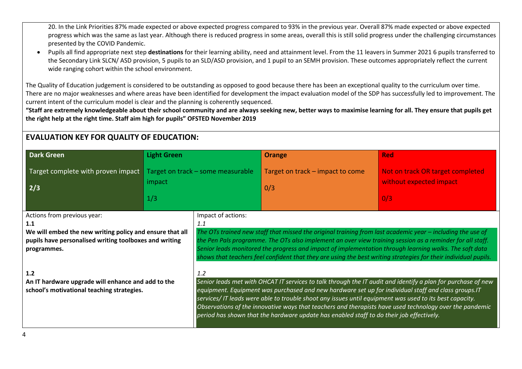20. In the Link Priorities 87% made expected or above expected progress compared to 93% in the previous year. Overall 87% made expected or above expected progress which was the same as last year. Although there is reduced progress in some areas, overall this is still solid progress under the challenging circumstances presented by the COVID Pandemic.

 Pupils all find appropriate next step **destinations** for their learning ability, need and attainment level. From the 11 leavers in Summer 2021 6 pupils transferred to the Secondary Link SLCN/ ASD provision, 5 pupils to an SLD/ASD provision, and 1 pupil to an SEMH provision. These outcomes appropriately reflect the current wide ranging cohort within the school environment.

The Quality of Education judgement is considered to be outstanding as opposed to good because there has been an exceptional quality to the curriculum over time. There are no major weaknesses and where areas have been identified for development the impact evaluation model of the SDP has successfully led to improvement. The current intent of the curriculum model is clear and the planning is coherently sequenced.

**"Staff are extremely knowledgeable about their school community and are always seeking new, better ways to maximise learning for all. They ensure that pupils get the right help at the right time. Staff aim high for pupils" OFSTED November 2019**

# **EVALUATION KEY FOR QUALITY OF EDUCATION:**

| <b>Dark Green</b>                                                                                                                                                       | <b>Light Green</b> |                                   | <b>Orange</b>                                                                                                                                                                                                                                                                                                                                                                                                                                          | <b>Red</b>                                                                                                   |
|-------------------------------------------------------------------------------------------------------------------------------------------------------------------------|--------------------|-----------------------------------|--------------------------------------------------------------------------------------------------------------------------------------------------------------------------------------------------------------------------------------------------------------------------------------------------------------------------------------------------------------------------------------------------------------------------------------------------------|--------------------------------------------------------------------------------------------------------------|
| Target complete with proven impact<br>2/3                                                                                                                               | impact             | Target on track - some measurable | Target on track – impact to come<br>0/3                                                                                                                                                                                                                                                                                                                                                                                                                | Not on track OR target completed<br>without expected impact                                                  |
|                                                                                                                                                                         | 1/3                |                                   |                                                                                                                                                                                                                                                                                                                                                                                                                                                        | 0/3                                                                                                          |
| Actions from previous year:<br>1.1<br>We will embed the new writing policy and ensure that all<br>pupils have personalised writing toolboxes and writing<br>programmes. |                    | Impact of actions:<br>1.1         | The OTs trained new staff that missed the original training from last academic year $-$ including the use of<br>the Pen Pals programme. The OTs also implement an over view training session as a reminder for all staff.<br>Senior leads monitored the progress and impact of implementation through learning walks. The soft data<br>shows that teachers feel confident that they are using the best writing strategies for their individual pupils. |                                                                                                              |
| 1.2<br>An IT hardware upgrade will enhance and add to the<br>school's motivational teaching strategies.                                                                 |                    | 1.2                               | equipment. Equipment was purchased and new hardware set up for individual staff and class groups. IT<br>services/IT leads were able to trouble shoot any issues until equipment was used to its best capacity.<br>Observations of the innovative ways that teachers and therapists have used technology over the pandemic<br>period has shown that the hardware update has enabled staff to do their job effectively.                                  | Senior leads met with OHCAT IT services to talk through the IT audit and identify a plan for purchase of new |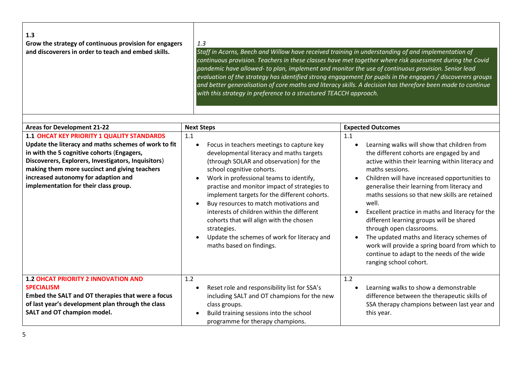| $\vert$ 1.3<br>Grow the strategy of continuous provision for engagers | 1.3                                                                                                                                                                                                               |
|-----------------------------------------------------------------------|-------------------------------------------------------------------------------------------------------------------------------------------------------------------------------------------------------------------|
| and discoverers in order to teach and embed skills.                   | Staff in Acorns, Beech and Willow have received training in understanding of and implementation of<br>continuous provision. Teachers in these classes have met together where risk assessment during the Covid    |
|                                                                       | pandemic have allowed- to plan, implement and monitor the use of continuous provision. Senior lead<br>evaluation of the strategy has identified strong engagement for pupils in the engagers / discoverers groups |
|                                                                       | and better generalisation of core maths and literacy skills. A decision has therefore been made to continue<br>with this strategy in preference to a structured TEACCH approach.                                  |

| <b>Areas for Development 21-22</b>                                                                                                                                                                                                                                                                                                              | <b>Next Steps</b>                                                                                                                                                                                                                                                                                                                                                                                                                                                                                                                                                                                | <b>Expected Outcomes</b>                                                                                                                                                                                                                                                                                                                                                                                                                                                                                                                                                                                                                                      |
|-------------------------------------------------------------------------------------------------------------------------------------------------------------------------------------------------------------------------------------------------------------------------------------------------------------------------------------------------|--------------------------------------------------------------------------------------------------------------------------------------------------------------------------------------------------------------------------------------------------------------------------------------------------------------------------------------------------------------------------------------------------------------------------------------------------------------------------------------------------------------------------------------------------------------------------------------------------|---------------------------------------------------------------------------------------------------------------------------------------------------------------------------------------------------------------------------------------------------------------------------------------------------------------------------------------------------------------------------------------------------------------------------------------------------------------------------------------------------------------------------------------------------------------------------------------------------------------------------------------------------------------|
| <b>1.1 OHCAT KEY PRIORITY 1 QUALITY STANDARDS</b><br>Update the literacy and maths schemes of work to fit<br>in with the 5 cognitive cohorts (Engagers,<br>Discoverers, Explorers, Investigators, Inquisitors)<br>making them more succinct and giving teachers<br>increased autonomy for adaption and<br>implementation for their class group. | 1.1<br>Focus in teachers meetings to capture key<br>$\bullet$<br>developmental literacy and maths targets<br>(through SOLAR and observation) for the<br>school cognitive cohorts.<br>Work in professional teams to identify,<br>$\bullet$<br>practise and monitor impact of strategies to<br>implement targets for the different cohorts.<br>Buy resources to match motivations and<br>$\bullet$<br>interests of children within the different<br>cohorts that will align with the chosen<br>strategies.<br>Update the schemes of work for literacy and<br>$\bullet$<br>maths based on findings. | 1.1<br>Learning walks will show that children from<br>the different cohorts are engaged by and<br>active within their learning within literacy and<br>maths sessions.<br>Children will have increased opportunities to<br>$\bullet$<br>generalise their learning from literacy and<br>maths sessions so that new skills are retained<br>well.<br>Excellent practice in maths and literacy for the<br>$\bullet$<br>different learning groups will be shared<br>through open classrooms.<br>The updated maths and literacy schemes of<br>work will provide a spring board from which to<br>continue to adapt to the needs of the wide<br>ranging school cohort. |
| <b>1.2 OHCAT PRIORITY 2 INNOVATION AND</b><br><b>SPECIALISM</b><br>Embed the SALT and OT therapies that were a focus<br>of last year's development plan through the class<br><b>SALT and OT champion model.</b>                                                                                                                                 | 1.2<br>Reset role and responsibility list for SSA's<br>٠<br>including SALT and OT champions for the new<br>class groups.<br>Build training sessions into the school<br>$\bullet$<br>programme for therapy champions.                                                                                                                                                                                                                                                                                                                                                                             | 1.2<br>Learning walks to show a demonstrable<br>difference between the therapeutic skills of<br>SSA therapy champions between last year and<br>this year.                                                                                                                                                                                                                                                                                                                                                                                                                                                                                                     |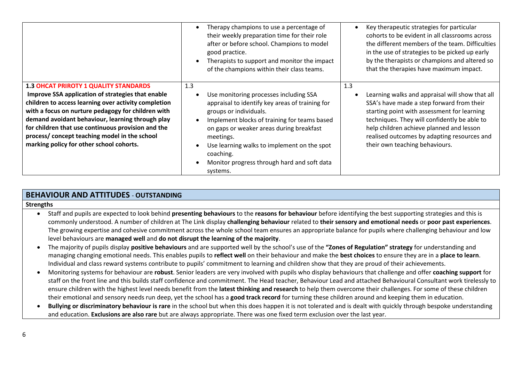|                                                                                                                                                                                                                                                                                                                                                                                                                        | Therapy champions to use a percentage of<br>their weekly preparation time for their role<br>after or before school. Champions to model<br>good practice.<br>Therapists to support and monitor the impact<br>of the champions within their class teams.                                                                                                                                                         | Key therapeutic strategies for particular<br>cohorts to be evident in all classrooms across<br>the different members of the team. Difficulties<br>in the use of strategies to be picked up early<br>by the therapists or champions and altered so<br>that the therapies have maximum impact.                                    |
|------------------------------------------------------------------------------------------------------------------------------------------------------------------------------------------------------------------------------------------------------------------------------------------------------------------------------------------------------------------------------------------------------------------------|----------------------------------------------------------------------------------------------------------------------------------------------------------------------------------------------------------------------------------------------------------------------------------------------------------------------------------------------------------------------------------------------------------------|---------------------------------------------------------------------------------------------------------------------------------------------------------------------------------------------------------------------------------------------------------------------------------------------------------------------------------|
| <b>1.3 OHCAT PRIROTY 1 QUALITY STANDARDS</b><br>Improve SSA application of strategies that enable<br>children to access learning over activity completion<br>with a focus on nurture pedagogy for children with<br>demand avoidant behaviour, learning through play<br>for children that use continuous provision and the<br>process/ concept teaching model in the school<br>marking policy for other school cohorts. | 1.3<br>Use monitoring processes including SSA<br>$\bullet$<br>appraisal to identify key areas of training for<br>groups or individuals.<br>Implement blocks of training for teams based<br>$\bullet$<br>on gaps or weaker areas during breakfast<br>meetings.<br>Use learning walks to implement on the spot<br>$\bullet$<br>coaching.<br>Monitor progress through hard and soft data<br>$\bullet$<br>systems. | 1.3<br>Learning walks and appraisal will show that all<br>SSA's have made a step forward from their<br>starting point with assessment for learning<br>techniques. They will confidently be able to<br>help children achieve planned and lesson<br>realised outcomes by adapting resources and<br>their own teaching behaviours. |

## **BEHAVIOUR AND ATTITUDES** - **OUTSTANDING**

### **Strengths**

- Staff and pupils are expected to look behind **presenting behaviours** to the **reasons for behaviour** before identifying the best supporting strategies and this is commonly understood. A number of children at The Link display **challenging behaviour** related to **their sensory and emotional needs** or **poor past experiences**. The growing expertise and cohesive commitment across the whole school team ensures an appropriate balance for pupils where challenging behaviour and low level behaviours are **managed well** and **do not disrupt the learning of the majority**.
- The majority of pupils display **positive behaviours** and are supported well by the school's use of the **"Zones of Regulation" strategy** for understanding and managing changing emotional needs. This enables pupils to **reflect well** on their behaviour and make the **best choices** to ensure they are in a **place to learn**. Individual and class reward systems contribute to pupils' commitment to learning and children show that they are proud of their achievements.
- Monitoring systems for behaviour are **robust**. Senior leaders are very involved with pupils who display behaviours that challenge and offer **coaching support** for staff on the front line and this builds staff confidence and commitment. The Head teacher, Behaviour Lead and attached Behavioural Consultant work tirelessly to ensure children with the highest level needs benefit from the **latest thinking and research** to help them overcome their challenges. For some of these children their emotional and sensory needs run deep, yet the school has a **good track record** for turning these children around and keeping them in education.
- **Bullying or discriminatory behaviour is rare** in the school but when this does happen it is not tolerated and is dealt with quickly through bespoke understanding and education. **Exclusions are also rare** but are always appropriate. There was one fixed term exclusion over the last year.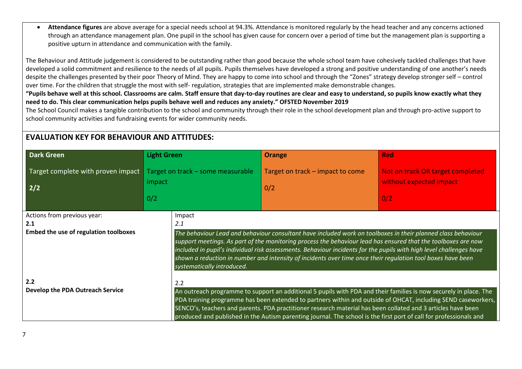**Attendance figures** are above average for a special needs school at 94.3%. Attendance is monitored regularly by the head teacher and any concerns actioned through an attendance management plan. One pupil in the school has given cause for concern over a period of time but the management plan is supporting a positive upturn in attendance and communication with the family.

The Behaviour and Attitude judgement is considered to be outstanding rather than good because the whole school team have cohesively tackled challenges that have developed a solid commitment and resilience to the needs of all pupils. Pupils themselves have developed a strong and positive understanding of one another's needs despite the challenges presented by their poor Theory of Mind. They are happy to come into school and through the "Zones" strategy develop stronger self – control over time. For the children that struggle the most with self- regulation, strategies that are implemented make demonstrable changes.

**"Pupils behave well at this school. Classrooms are calm. Staff ensure that day-to-day routines are clear and easy to understand, so pupils know exactly what they need to do. This clear communication helps pupils behave well and reduces any anxiety." OFSTED November 2019**

The School Council makes a tangible contribution to the school and community through their role in the school development plan and through pro-active support to school community activities and fundraising events for wider community needs.

# **EVALUATION KEY FOR BEHAVIOUR AND ATTITUDES:**

| <b>Dark Green</b>                                                           | <b>Light Green</b>                                 | <b>Orange</b>                                                                                                                                                                                                                                                                                                                                                                                                                                                          | <b>Red</b>                                                                                                    |  |
|-----------------------------------------------------------------------------|----------------------------------------------------|------------------------------------------------------------------------------------------------------------------------------------------------------------------------------------------------------------------------------------------------------------------------------------------------------------------------------------------------------------------------------------------------------------------------------------------------------------------------|---------------------------------------------------------------------------------------------------------------|--|
| Target complete with proven impact<br>2/2                                   | Target on track - some measurable<br>impact<br>0/2 | Target on track - impact to come<br>0/2                                                                                                                                                                                                                                                                                                                                                                                                                                | Not on track OR target completed<br>without expected impact<br>0/2                                            |  |
| Actions from previous year:<br>2.1<br>Embed the use of regulation toolboxes | Impact<br>2.1                                      | The behaviour Lead and behaviour consultant have included work on toolboxes in their planned class behaviour<br>support meetings. As part of the monitoring process the behaviour lead has ensured that the toolboxes are now<br>included in pupil's individual risk assessments. Behaviour incidents for the pupils with high level challenges have                                                                                                                   |                                                                                                               |  |
| 2.2<br>Develop the PDA Outreach Service                                     | systematically introduced.<br>2.2                  | shown a reduction in number and intensity of incidents over time once their regulation tool boxes have been<br>An outreach programme to support an additional 5 pupils with PDA and their families is now securely in place. The<br>SENCO's, teachers and parents. PDA practitioner research material has been collated and 3 articles have been<br>produced and published in the Autism parenting journal. The school is the first port of call for professionals and | PDA training programme has been extended to partners within and outside of OHCAT, including SEND caseworkers, |  |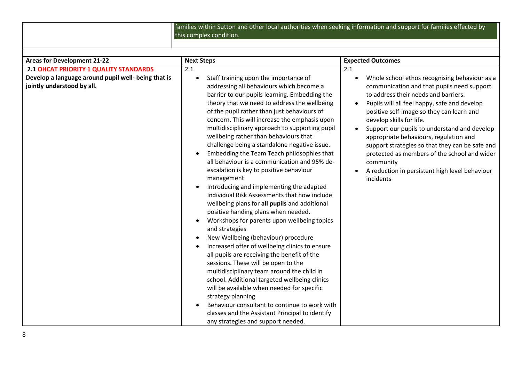families within Sutton and other local authorities when seeking information and support for families effected by this complex condition.

| <b>Areas for Development 21-22</b>                                                | <b>Next Steps</b>                                                                                                                                                                                                                                                                                                                                                                                                                                                                                                                                                                                                                                                                                                                                                                                                                                                                                                                                                                                                                                                                                                                                                                                                                                                                                                                                              | <b>Expected Outcomes</b>                                                                                                                                                                                                                                                                                                                                                                                                                                                                                                                                                     |
|-----------------------------------------------------------------------------------|----------------------------------------------------------------------------------------------------------------------------------------------------------------------------------------------------------------------------------------------------------------------------------------------------------------------------------------------------------------------------------------------------------------------------------------------------------------------------------------------------------------------------------------------------------------------------------------------------------------------------------------------------------------------------------------------------------------------------------------------------------------------------------------------------------------------------------------------------------------------------------------------------------------------------------------------------------------------------------------------------------------------------------------------------------------------------------------------------------------------------------------------------------------------------------------------------------------------------------------------------------------------------------------------------------------------------------------------------------------|------------------------------------------------------------------------------------------------------------------------------------------------------------------------------------------------------------------------------------------------------------------------------------------------------------------------------------------------------------------------------------------------------------------------------------------------------------------------------------------------------------------------------------------------------------------------------|
| 2.1 OHCAT PRIORITY 1 QUALITY STANDARDS                                            | 2.1                                                                                                                                                                                                                                                                                                                                                                                                                                                                                                                                                                                                                                                                                                                                                                                                                                                                                                                                                                                                                                                                                                                                                                                                                                                                                                                                                            | 2.1                                                                                                                                                                                                                                                                                                                                                                                                                                                                                                                                                                          |
| Develop a language around pupil well- being that is<br>jointly understood by all. | Staff training upon the importance of<br>$\bullet$<br>addressing all behaviours which become a<br>barrier to our pupils learning. Embedding the<br>theory that we need to address the wellbeing<br>of the pupil rather than just behaviours of<br>concern. This will increase the emphasis upon<br>multidisciplinary approach to supporting pupil<br>wellbeing rather than behaviours that<br>challenge being a standalone negative issue.<br>Embedding the Team Teach philosophies that<br>all behaviour is a communication and 95% de-<br>escalation is key to positive behaviour<br>management<br>Introducing and implementing the adapted<br>Individual Risk Assessments that now include<br>wellbeing plans for all pupils and additional<br>positive handing plans when needed.<br>Workshops for parents upon wellbeing topics<br>and strategies<br>New Wellbeing (behaviour) procedure<br>$\bullet$<br>Increased offer of wellbeing clinics to ensure<br>all pupils are receiving the benefit of the<br>sessions. These will be open to the<br>multidisciplinary team around the child in<br>school. Additional targeted wellbeing clinics<br>will be available when needed for specific<br>strategy planning<br>Behaviour consultant to continue to work with<br>classes and the Assistant Principal to identify<br>any strategies and support needed. | Whole school ethos recognising behaviour as a<br>$\bullet$<br>communication and that pupils need support<br>to address their needs and barriers.<br>Pupils will all feel happy, safe and develop<br>$\bullet$<br>positive self-image so they can learn and<br>develop skills for life.<br>Support our pupils to understand and develop<br>$\bullet$<br>appropriate behaviours, regulation and<br>support strategies so that they can be safe and<br>protected as members of the school and wider<br>community<br>A reduction in persistent high level behaviour<br>incidents |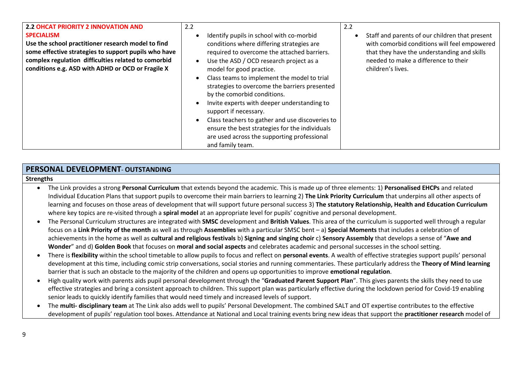| 2.2 OHCAT PRIORITY 2 INNOVATION AND<br><b>SPECIALISM</b><br>Use the school practitioner research model to find<br>some effective strategies to support pupils who have<br>complex regulation difficulties related to comorbid<br>conditions e.g. ASD with ADHD or OCD or Fragile X | 2.2<br>Identify pupils in school with co-morbid<br>conditions where differing strategies are<br>required to overcome the attached barriers.<br>Use the ASD / OCD research project as a<br>model for good practice.<br>Class teams to implement the model to trial<br>strategies to overcome the barriers presented<br>by the comorbid conditions.<br>Invite experts with deeper understanding to<br>support if necessary.<br>Class teachers to gather and use discoveries to<br>ensure the best strategies for the individuals<br>are used across the supporting professional<br>and family team. | 2.2<br>Staff and parents of our children that present<br>with comorbid conditions will feel empowered<br>that they have the understanding and skills<br>needed to make a difference to their<br>children's lives. |
|------------------------------------------------------------------------------------------------------------------------------------------------------------------------------------------------------------------------------------------------------------------------------------|---------------------------------------------------------------------------------------------------------------------------------------------------------------------------------------------------------------------------------------------------------------------------------------------------------------------------------------------------------------------------------------------------------------------------------------------------------------------------------------------------------------------------------------------------------------------------------------------------|-------------------------------------------------------------------------------------------------------------------------------------------------------------------------------------------------------------------|
|------------------------------------------------------------------------------------------------------------------------------------------------------------------------------------------------------------------------------------------------------------------------------------|---------------------------------------------------------------------------------------------------------------------------------------------------------------------------------------------------------------------------------------------------------------------------------------------------------------------------------------------------------------------------------------------------------------------------------------------------------------------------------------------------------------------------------------------------------------------------------------------------|-------------------------------------------------------------------------------------------------------------------------------------------------------------------------------------------------------------------|

## **PERSONAL DEVELOPMENT**- **OUTSTANDING**

#### **Strengths**

- The Link provides a strong **Personal Curriculum** that extends beyond the academic. This is made up of three elements: 1) **Personalised EHCPs** and related Individual Education Plans that support pupils to overcome their main barriers to learning 2) **The Link Priority Curriculum** that underpins all other aspects of learning and focuses on those areas of development that will support future personal success 3) **The statutory Relationship, Health and Education Curriculum** where key topics are re-visited through a **spiral model** at an appropriate level for pupils' cognitive and personal development.
- The Personal Curriculum structures are integrated with **SMSC** development and **British Values**. This area of the curriculum is supported well through a regular focus on a **Link Priority of the month** as well as through **Assemblies** with a particular SMSC bent – a) **Special Moments** that includes a celebration of achievements in the home as well as **cultural and religious festivals** b) **Signing and singing choir** c) **Sensory Assembly** that develops a sense of "**Awe and Wonder**" and d) **Golden Book** that focuses on **moral and social aspects** and celebrates academic and personal successes in the school setting.
- There is **flexibility** within the school timetable to allow pupils to focus and reflect on **personal events**. A wealth of effective strategies support pupils' personal development at this time, including comic strip conversations, social stories and running commentaries. These particularly address the **Theory of Mind learning** barrier that is such an obstacle to the majority of the children and opens up opportunities to improve **emotional regulation**.
- High quality work with parents aids pupil personal development through the "**Graduated Parent Support Plan**". This gives parents the skills they need to use effective strategies and bring a consistent approach to children. This support plan was particularly effective during the lockdown period for Covid-19 enabling senior leads to quickly identify families that would need timely and increased levels of support.
- The **multi- disciplinary team** at The Link also adds well to pupils' Personal Development. The combined SALT and OT expertise contributes to the effective development of pupils' regulation tool boxes. Attendance at National and Local training events bring new ideas that support the **practitioner research** model of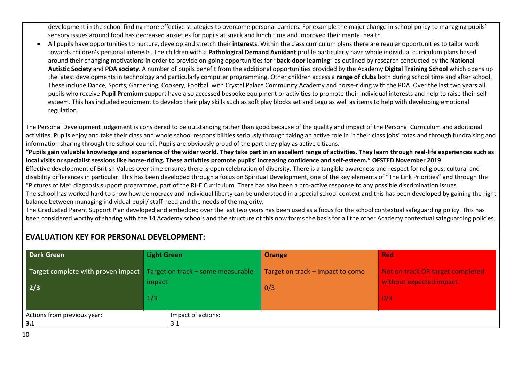development in the school finding more effective strategies to overcome personal barriers. For example the major change in school policy to managing pupils' sensory issues around food has decreased anxieties for pupils at snack and lunch time and improved their mental health.

 All pupils have opportunities to nurture, develop and stretch their **interests**. Within the class curriculum plans there are regular opportunities to tailor work towards children's personal interests. The children with a **Pathological Demand Avoidant** profile particularly have whole individual curriculum plans based around their changing motivations in order to provide on-going opportunities for "**back-door learning**" as outlined by research conducted by the **National Autistic Society** and **PDA society**. A number of pupils benefit from the additional opportunities provided by the Academy **Digital Training School** which opens up the latest developments in technology and particularly computer programming. Other children access a **range of clubs** both during school time and after school. These include Dance, Sports, Gardening, Cookery, Football with Crystal Palace Community Academy and horse-riding with the RDA. Over the last two years all pupils who receive **Pupil Premium** support have also accessed bespoke equipment or activities to promote their individual interests and help to raise their selfesteem. This has included equipment to develop their play skills such as soft play blocks set and Lego as well as items to help with developing emotional regulation.

The Personal Development judgement is considered to be outstanding rather than good because of the quality and impact of the Personal Curriculum and additional activities. Pupils enjoy and take their class and whole school responsibilities seriously through taking an active role in in their class jobs' rotas and through fundraising and information sharing through the school council. Pupils are obviously proud of the part they play as active citizens.

**"Pupils gain valuable knowledge and experience of the wider world. They take part in an excellent range of activities. They learn through real-life experiences such as local visits or specialist sessions like horse-riding. These activities promote pupils' increasing confidence and self-esteem." OFSTED November 2019**

Effective development of British Values over time ensures there is open celebration of diversity. There is a tangible awareness and respect for religious, cultural and disability differences in particular. This has been developed through a focus on Spiritual Development, one of the key elements of "The Link Priorities" and through the "Pictures of Me" diagnosis support programme, part of the RHE Curriculum. There has also been a pro-active response to any possible discrimination issues.

The school has worked hard to show how democracy and individual liberty can be understood in a special school context and this has been developed by gaining the right balance between managing individual pupil/ staff need and the needs of the majority.

The Graduated Parent Support Plan developed and embedded over the last two years has been used as a focus for the school contextual safeguarding policy. This has been considered worthy of sharing with the 14 Academy schools and the structure of this now forms the basis for all the other Academy contextual safeguarding policies.

## **EVALUATION KEY FOR PERSONAL DEVELOPMENT:**

| <b>Dark Green</b>                                 | Light Green                                      | <b>Orange</b>                    | <b>Red</b>                       |
|---------------------------------------------------|--------------------------------------------------|----------------------------------|----------------------------------|
| Target complete with proven impact                | $\blacksquare$ Target on track – some measurable | Target on track – impact to come | Not on track OR target completed |
| 2/3                                               | impact                                           | 0/3                              | without expected impact          |
|                                                   | 1/3                                              |                                  | 0/3                              |
| Impact of actions:<br>Actions from previous year: |                                                  |                                  |                                  |
| 3.1                                               | 3.1                                              |                                  |                                  |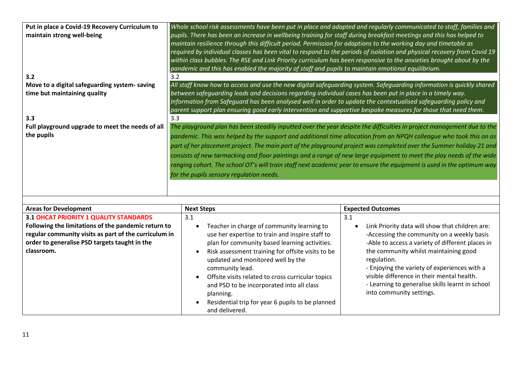| Put in place a Covid-19 Recovery Curriculum to<br>maintain strong well-being        | Whole school risk assessments have been put in place and adapted and regularly communicated to staff, families and<br>pupils. There has been an increase in wellbeing training for staff during breakfast meetings and this has helped to<br>maintain resilience through this difficult period. Permission for adaptions to the working day and timetable as<br>required by individual classes has been vital to respond to the periods of isolation and physical recovery from Covid 19<br>within class bubbles. The RSE and Link Priority curriculum has been responsive to the anxieties brought about by the<br>pandemic and this has enabled the majority of staff and pupils to maintain emotional equilibrium. |
|-------------------------------------------------------------------------------------|-----------------------------------------------------------------------------------------------------------------------------------------------------------------------------------------------------------------------------------------------------------------------------------------------------------------------------------------------------------------------------------------------------------------------------------------------------------------------------------------------------------------------------------------------------------------------------------------------------------------------------------------------------------------------------------------------------------------------|
| 3.2                                                                                 | 3.2                                                                                                                                                                                                                                                                                                                                                                                                                                                                                                                                                                                                                                                                                                                   |
| Move to a digital safeguarding system-saving<br>time but maintaining quality<br>3.3 | All staff know how to access and use the new digital safeguarding system. Safeguarding information is quickly shared<br>between safeguarding leads and decisions regarding individual cases has been put in place in a timely way.<br>Information from Safeguard has been analysed well in order to update the contextualised safeguarding policy and<br>parent support plan ensuring good early intervention and supportive bespoke measures for those that need them.<br>3.3                                                                                                                                                                                                                                        |
| Full playground upgrade to meet the needs of all                                    | The playground plan has been steadily inputted over the year despite the difficulties in project management due to the                                                                                                                                                                                                                                                                                                                                                                                                                                                                                                                                                                                                |
| the pupils                                                                          | pandemic. This was helped by the support and additional time allocation from an NPQH colleague who took this on as<br>part of her placement project. The main part of the playground project was completed over the Summer holiday 21 and<br>consists of new tarmacking and floor paintings and a range of new large equipment to meet the play needs of the wide<br>ranging cohort. The school OT's will train staff next academic year to ensure the equipment is used in the optimum way<br>for the pupils sensory regulation needs.                                                                                                                                                                               |

| <b>Areas for Development</b>                                                                                                                                                | <b>Next Steps</b>                                                                                                                                                                                                                                                                                                                                                                                                                                | <b>Expected Outcomes</b>                                                                                                                                                                                                                                                                                                                                                                |
|-----------------------------------------------------------------------------------------------------------------------------------------------------------------------------|--------------------------------------------------------------------------------------------------------------------------------------------------------------------------------------------------------------------------------------------------------------------------------------------------------------------------------------------------------------------------------------------------------------------------------------------------|-----------------------------------------------------------------------------------------------------------------------------------------------------------------------------------------------------------------------------------------------------------------------------------------------------------------------------------------------------------------------------------------|
| 3.1 OHCAT PRIORITY 1 QUALITY STANDARDS                                                                                                                                      | 3.1                                                                                                                                                                                                                                                                                                                                                                                                                                              | 3.1                                                                                                                                                                                                                                                                                                                                                                                     |
| Following the limitations of the pandemic return to<br>regular community visits as part of the curriculum in<br>order to generalise PSD targets taught in the<br>classroom. | Teacher in charge of community learning to<br>use her expertise to train and inspire staff to<br>plan for community based learning activities.<br>Risk assessment training for offsite visits to be<br>updated and monitored well by the<br>community lead.<br>Offsite visits related to cross curricular topics<br>and PSD to be incorporated into all class<br>planning.<br>Residential trip for year 6 pupils to be planned<br>and delivered. | Link Priority data will show that children are:<br>-Accessing the community on a weekly basis<br>-Able to access a variety of different places in<br>the community whilst maintaining good<br>regulation.<br>- Enjoying the variety of experiences with a<br>visible difference in their mental health.<br>- Learning to generalise skills learnt in school<br>into community settings. |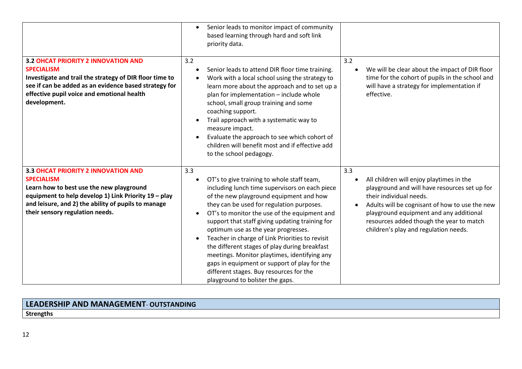|                                                                                                                                                                                                                                                        | Senior leads to monitor impact of community<br>$\bullet$<br>based learning through hard and soft link<br>priority data.                                                                                                                                                                                                                                                                                                                                                                                                                                                                                                                           |                                                                                                                                                                                                                                                                                                                            |
|--------------------------------------------------------------------------------------------------------------------------------------------------------------------------------------------------------------------------------------------------------|---------------------------------------------------------------------------------------------------------------------------------------------------------------------------------------------------------------------------------------------------------------------------------------------------------------------------------------------------------------------------------------------------------------------------------------------------------------------------------------------------------------------------------------------------------------------------------------------------------------------------------------------------|----------------------------------------------------------------------------------------------------------------------------------------------------------------------------------------------------------------------------------------------------------------------------------------------------------------------------|
| 3.2 OHCAT PRIORITY 2 INNOVATION AND<br><b>SPECIALISM</b><br>Investigate and trail the strategy of DIR floor time to<br>see if can be added as an evidence based strategy for<br>effective pupil voice and emotional health<br>development.             | 3.2<br>Senior leads to attend DIR floor time training.<br>$\bullet$<br>Work with a local school using the strategy to<br>learn more about the approach and to set up a<br>plan for implementation - include whole<br>school, small group training and some<br>coaching support.<br>Trail approach with a systematic way to<br>$\bullet$<br>measure impact.<br>Evaluate the approach to see which cohort of<br>children will benefit most and if effective add<br>to the school pedagogy.                                                                                                                                                          | 3.2<br>We will be clear about the impact of DIR floor<br>$\bullet$<br>time for the cohort of pupils in the school and<br>will have a strategy for implementation if<br>effective.                                                                                                                                          |
| 3.3 OHCAT PRIORITY 2 INNOVATION AND<br><b>SPECIALISM</b><br>Learn how to best use the new playground<br>equipment to help develop 1) Link Priority 19 - play<br>and leisure, and 2) the ability of pupils to manage<br>their sensory regulation needs. | 3.3<br>OT's to give training to whole staff team,<br>including lunch time supervisors on each piece<br>of the new playground equipment and how<br>they can be used for regulation purposes.<br>OT's to monitor the use of the equipment and<br>$\bullet$<br>support that staff giving updating training for<br>optimum use as the year progresses.<br>Teacher in charge of Link Priorities to revisit<br>$\bullet$<br>the different stages of play during breakfast<br>meetings. Monitor playtimes, identifying any<br>gaps in equipment or support of play for the<br>different stages. Buy resources for the<br>playground to bolster the gaps. | 3.3<br>All children will enjoy playtimes in the<br>playground and will have resources set up for<br>their individual needs.<br>Adults will be cognisant of how to use the new<br>$\bullet$<br>playground equipment and any additional<br>resources added though the year to match<br>children's play and regulation needs. |

# **LEADERSHIP AND MANAGEMENT**- **OUTSTANDING**

**Strengths**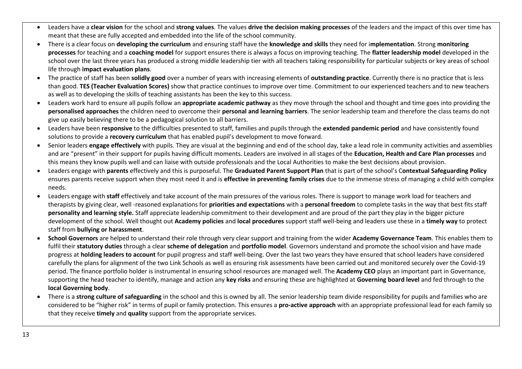- Leaders have a **clear vision** for the school and **strong values**. The values **drive the decision making processes** of the leaders and the impact of this over time has meant that these are fully accepted and embedded into the life of the school community.
- There is a clear focus on **developing the curriculum** and ensuring staff have the **knowledge and skills** they need for i**mplementation**. Strong **monitoring processes** for teaching and a **coaching model** for support ensures there is always a focus on improving teaching. The **flatter leadership model** developed in the school over the last three years has produced a strong middle leadership tier with all teachers taking responsibility for particular subjects or key areas of school life through **impact evaluation plans**.
- The practice of staff has been **solidly good** over a number of years with increasing elements of **outstanding practice**. Currently there is no practice that is less than good. **TES (Teacher Evaluation Scores)** show that practice continues to improve over time. Commitment to our experienced teachers and to new teachers as well as to developing the skills of teaching assistants has been the key to this success.
- Leaders work hard to ensure all pupils follow an **appropriate academic pathway** as they move through the school and thought and time goes into providing the **personalised approaches** the children need to overcome their **personal and learning barriers**. The senior leadership team and therefore the class teams do not give up easily believing there to be a pedagogical solution to all barriers.
- Leaders have been **responsive** to the difficulties presented to staff, families and pupils through the **extended pandemic period** and have consistently found solutions to provide a **recovery curriculum** that has enabled pupil's development to move forward.
- Senior leaders **engage effectively** with pupils. They are visual at the beginning and end of the school day, take a lead role in community activities and assemblies and are "present" in their support for pupils having difficult moments. Leaders are involved in all stages of the **Education, Health and Care Plan processes** and this means they know pupils well and can liaise with outside professionals and the Local Authorities to make the best decisions about provision.
- Leaders engage with **parents** effectively and this is purposeful. The **Graduated Parent Support Plan** that is part of the school's C**ontextual Safeguarding Policy** ensures parents receive support when they most need it and is **effective in preventing family crises** due to the immense stress of managing a child with complex needs.
- Leaders engage with **staff** effectively and take account of the main pressures of the various roles. There is support to manage work load for teachers and therapists by giving clear, well -reasoned explanations for **priorities and expectations** with a **personal freedom** to complete tasks in the way that best fits staff **personality and learning style.** Staff appreciate leadership commitment to their development and are proud of the part they play in the bigger picture development of the school. Well thought out **Academy policies** and **local procedures** support staff well-being and leaders use these in a **timely way** to protect staff from **bullying or harassment**.
- **School Governors** are helped to understand their role through very clear support and training from the wider **Academy Governance Team**. This enables them to fulfil their **statutory duties** through a clear **scheme of delegation** and **portfolio model**. Governors understand and promote the school vision and have made progress at **holding leaders to account** for pupil progress and staff well-being. Over the last two years they have ensured that school leaders have considered carefully the plans for alignment of the two Link Schools as well as ensuring risk assessments have been carried out and monitored securely over the Covid-19 period. The finance portfolio holder is instrumental in ensuring school resources are managed well. The **Academy CEO** plays an important part in Governance, supporting the head teacher to identify, manage and action any **key risks** and ensuring these are highlighted at **Governing board level** and fed through to the **local Governing body**.
- There is a **strong culture of safeguarding** in the school and this is owned by all. The senior leadership team divide responsibility for pupils and families who are considered to be "higher risk" in terms of pupil or family protection. This ensures a **pro-active approach** with an appropriate professional lead for each family so that they receive **timely** and **quality** support from the appropriate services.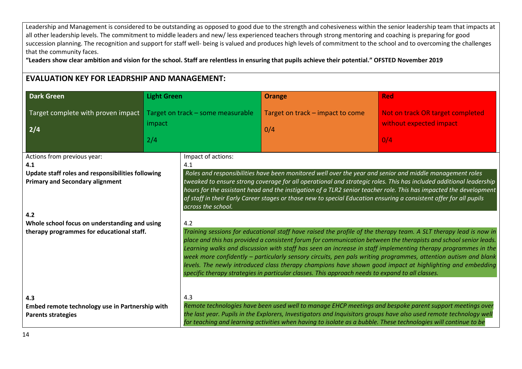Leadership and Management is considered to be outstanding as opposed to good due to the strength and cohesiveness within the senior leadership team that impacts at all other leadership levels. The commitment to middle leaders and new/ less experienced teachers through strong mentoring and coaching is preparing for good succession planning. The recognition and support for staff well- being is valued and produces high levels of commitment to the school and to overcoming the challenges that the community faces.

**"Leaders show clear ambition and vision for the school. Staff are relentless in ensuring that pupils achieve their potential." OFSTED November 2019**

# **EVALUATION KEY FOR LEADRSHIP AND MANAGEMENT:**

| <b>Dark Green</b>                                                                                                                 | <b>Light Green</b> |                                                                                                                                                                                                                                                                                                                                                                                                                                                                                                                                                                                                                                                                                                  | <b>Orange</b>                                                                                                                                                                                                                                                                                                                                     | <b>Red</b>                                                                                                                                                                                                                              |
|-----------------------------------------------------------------------------------------------------------------------------------|--------------------|--------------------------------------------------------------------------------------------------------------------------------------------------------------------------------------------------------------------------------------------------------------------------------------------------------------------------------------------------------------------------------------------------------------------------------------------------------------------------------------------------------------------------------------------------------------------------------------------------------------------------------------------------------------------------------------------------|---------------------------------------------------------------------------------------------------------------------------------------------------------------------------------------------------------------------------------------------------------------------------------------------------------------------------------------------------|-----------------------------------------------------------------------------------------------------------------------------------------------------------------------------------------------------------------------------------------|
| Target complete with proven impact<br>2/4                                                                                         | impact<br>2/4      | Target on track - some measurable                                                                                                                                                                                                                                                                                                                                                                                                                                                                                                                                                                                                                                                                | Target on track - impact to come<br>0/4                                                                                                                                                                                                                                                                                                           | Not on track OR target completed<br>without expected impact<br>0/4                                                                                                                                                                      |
| Actions from previous year:<br>4.1<br>Update staff roles and responsibilities following<br><b>Primary and Secondary alignment</b> |                    | Impact of actions:<br>4.1<br>across the school.                                                                                                                                                                                                                                                                                                                                                                                                                                                                                                                                                                                                                                                  | Roles and responsibilities have been monitored well over the year and senior and middle management roles<br>of staff in their Early Career stages or those new to special Education ensuring a consistent offer for all pupils                                                                                                                    | tweaked to ensure strong coverage for all operational and strategic roles. This has included additional leadership<br>hours for the assistant head and the instigation of a TLR2 senior teacher role. This has impacted the development |
| 4.2<br>Whole school focus on understanding and using<br>therapy programmes for educational staff.                                 |                    | 4.2<br>Training sessions for educational staff have raised the profile of the therapy team. A SLT therapy lead is now in<br>place and this has provided a consistent forum for communication between the therapists and school senior leads.<br>Learning walks and discussion with staff has seen an increase in staff implementing therapy programmes in the<br>week more confidently - particularly sensory circuits, pen pals writing programmes, attention autism and blank<br>levels. The newly introduced class therapy champions have shown good impact at highlighting and embedding<br>specific therapy strategies in particular classes. This approach needs to expand to all classes. |                                                                                                                                                                                                                                                                                                                                                   |                                                                                                                                                                                                                                         |
| 4.3<br>Embed remote technology use in Partnership with<br><b>Parents strategies</b>                                               |                    | 4.3                                                                                                                                                                                                                                                                                                                                                                                                                                                                                                                                                                                                                                                                                              | Remote technologies have been used well to manage EHCP meetings and bespoke parent support meetings over<br>the last year. Pupils in the Explorers, Investigators and Inquisitors groups have also used remote technology well<br>for teaching and learning activities when having to isolate as a bubble. These technologies will continue to be |                                                                                                                                                                                                                                         |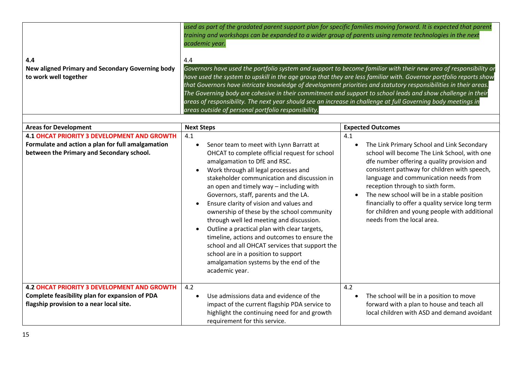| 4.4<br>New aligned Primary and Secondary Governing body<br>to work well together                                                                        | used as part of the gradated parent support plan for specific families moving forward. It is expected that parent<br>training and workshops can be expanded to a wider group of parents using remote technologies in the next<br>academic year.<br>4.4<br>Governors have used the portfolio system and support to become familiar with their new area of responsibility or<br>have used the system to upskill in the age group that they are less familiar with. Governor portfolio reports show<br>that Governors have intricate knowledge of development priorities and statutory responsibilities in their areas.<br>The Governing body are cohesive in their commitment and support to school leads and show challenge in their<br>areas of responsibility. The next year should see an increase in challenge at full Governing body meetings in<br>areas outside of personal portfolio responsibility. |                                                                                                                                                                                                                                                                                                                                                                                                                                                                                           |  |
|---------------------------------------------------------------------------------------------------------------------------------------------------------|-------------------------------------------------------------------------------------------------------------------------------------------------------------------------------------------------------------------------------------------------------------------------------------------------------------------------------------------------------------------------------------------------------------------------------------------------------------------------------------------------------------------------------------------------------------------------------------------------------------------------------------------------------------------------------------------------------------------------------------------------------------------------------------------------------------------------------------------------------------------------------------------------------------|-------------------------------------------------------------------------------------------------------------------------------------------------------------------------------------------------------------------------------------------------------------------------------------------------------------------------------------------------------------------------------------------------------------------------------------------------------------------------------------------|--|
| <b>Areas for Development</b>                                                                                                                            | <b>Next Steps</b>                                                                                                                                                                                                                                                                                                                                                                                                                                                                                                                                                                                                                                                                                                                                                                                                                                                                                           | <b>Expected Outcomes</b>                                                                                                                                                                                                                                                                                                                                                                                                                                                                  |  |
| <b>4.1 OHCAT PRIORITY 3 DEVELOPMENT AND GROWTH</b><br>Formulate and action a plan for full amalgamation<br>between the Primary and Secondary school.    | 4.1<br>Senor team to meet with Lynn Barratt at<br>$\bullet$<br>OHCAT to complete official request for school<br>amalgamation to DfE and RSC.<br>Work through all legal processes and<br>$\bullet$<br>stakeholder communication and discussion in<br>an open and timely way - including with<br>Governors, staff, parents and the LA.<br>Ensure clarity of vision and values and<br>ownership of these by the school community<br>through well led meeting and discussion.<br>Outline a practical plan with clear targets,<br>$\bullet$<br>timeline, actions and outcomes to ensure the<br>school and all OHCAT services that support the<br>school are in a position to support<br>amalgamation systems by the end of the<br>academic year.                                                                                                                                                                 | 4.1<br>The Link Primary School and Link Secondary<br>$\bullet$<br>school will become The Link School, with one<br>dfe number offering a quality provision and<br>consistent pathway for children with speech,<br>language and communication needs from<br>reception through to sixth form.<br>The new school will be in a stable position<br>$\bullet$<br>financially to offer a quality service long term<br>for children and young people with additional<br>needs from the local area. |  |
| <b>4.2 OHCAT PRIORITY 3 DEVELOPMENT AND GROWTH</b><br><b>Complete feasibility plan for expansion of PDA</b><br>flagship provision to a near local site. | 4.2<br>Use admissions data and evidence of the<br>$\bullet$<br>impact of the current flagship PDA service to<br>highlight the continuing need for and growth<br>requirement for this service.                                                                                                                                                                                                                                                                                                                                                                                                                                                                                                                                                                                                                                                                                                               | 4.2<br>The school will be in a position to move<br>$\bullet$<br>forward with a plan to house and teach all<br>local children with ASD and demand avoidant                                                                                                                                                                                                                                                                                                                                 |  |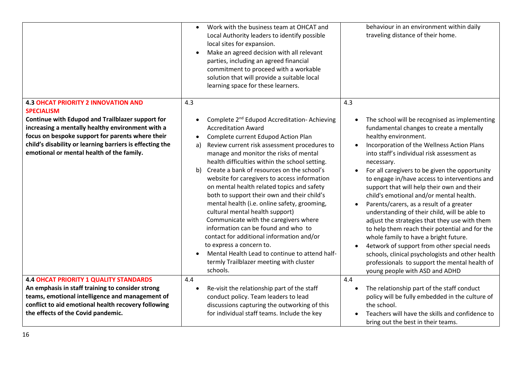|                                                                                                                                                                                                                                                                                                                                             | Work with the business team at OHCAT and<br>$\bullet$<br>Local Authority leaders to identify possible<br>local sites for expansion.<br>Make an agreed decision with all relevant<br>$\bullet$<br>parties, including an agreed financial<br>commitment to proceed with a workable<br>solution that will provide a suitable local<br>learning space for these learners.                                                                                                                                                                                                                                                                                                                                                                                                                                                                                                  | behaviour in an environment within daily<br>traveling distance of their home.                                                                                                                                                                                                                                                                                                                                                                                                                                                                                                                                                                                                                                                                                                                                                                                                                                     |
|---------------------------------------------------------------------------------------------------------------------------------------------------------------------------------------------------------------------------------------------------------------------------------------------------------------------------------------------|------------------------------------------------------------------------------------------------------------------------------------------------------------------------------------------------------------------------------------------------------------------------------------------------------------------------------------------------------------------------------------------------------------------------------------------------------------------------------------------------------------------------------------------------------------------------------------------------------------------------------------------------------------------------------------------------------------------------------------------------------------------------------------------------------------------------------------------------------------------------|-------------------------------------------------------------------------------------------------------------------------------------------------------------------------------------------------------------------------------------------------------------------------------------------------------------------------------------------------------------------------------------------------------------------------------------------------------------------------------------------------------------------------------------------------------------------------------------------------------------------------------------------------------------------------------------------------------------------------------------------------------------------------------------------------------------------------------------------------------------------------------------------------------------------|
| <b>4.3 OHCAT PRIORITY 2 INNOVATION AND</b><br><b>SPECIALISM</b><br><b>Continue with Edupod and Trailblazer support for</b><br>increasing a mentally healthy environment with a<br>focus on bespoke support for parents where their<br>child's disability or learning barriers is effecting the<br>emotional or mental health of the family. | 4.3<br>Complete 2 <sup>nd</sup> Edupod Accreditation- Achieving<br>$\bullet$<br><b>Accreditation Award</b><br>Complete current Edupod Action Plan<br>$\bullet$<br>Review current risk assessment procedures to<br>a)<br>manage and monitor the risks of mental<br>health difficulties within the school setting.<br>Create a bank of resources on the school's<br>b)<br>website for caregivers to access information<br>on mental health related topics and safety<br>both to support their own and their child's<br>mental health (i.e. online safety, grooming,<br>cultural mental health support)<br>Communicate with the caregivers where<br>information can be found and who to<br>contact for additional information and/or<br>to express a concern to.<br>Mental Health Lead to continue to attend half-<br>termly Trailblazer meeting with cluster<br>schools. | 4.3<br>The school will be recognised as implementing<br>$\bullet$<br>fundamental changes to create a mentally<br>healthy environment.<br>Incorporation of the Wellness Action Plans<br>$\bullet$<br>into staff's individual risk assessment as<br>necessary.<br>For all caregivers to be given the opportunity<br>to engage in/have access to interventions and<br>support that will help their own and their<br>child's emotional and/or mental health.<br>Parents/carers, as a result of a greater<br>$\bullet$<br>understanding of their child, will be able to<br>adjust the strategies that they use with them<br>to help them reach their potential and for the<br>whole family to have a bright future.<br>4etwork of support from other special needs<br>$\bullet$<br>schools, clinical psychologists and other health<br>professionals to support the mental health of<br>young people with ASD and ADHD |
| <b>4.4 OHCAT PRIORITY 1 QUALITY STANDARDS</b><br>An emphasis in staff training to consider strong<br>teams, emotional intelligence and management of<br>conflict to aid emotional health recovery following<br>the effects of the Covid pandemic.                                                                                           | 4.4<br>Re-visit the relationship part of the staff<br>$\bullet$<br>conduct policy. Team leaders to lead<br>discussions capturing the outworking of this<br>for individual staff teams. Include the key                                                                                                                                                                                                                                                                                                                                                                                                                                                                                                                                                                                                                                                                 | 4.4<br>The relationship part of the staff conduct<br>$\bullet$<br>policy will be fully embedded in the culture of<br>the school.<br>Teachers will have the skills and confidence to<br>bring out the best in their teams.                                                                                                                                                                                                                                                                                                                                                                                                                                                                                                                                                                                                                                                                                         |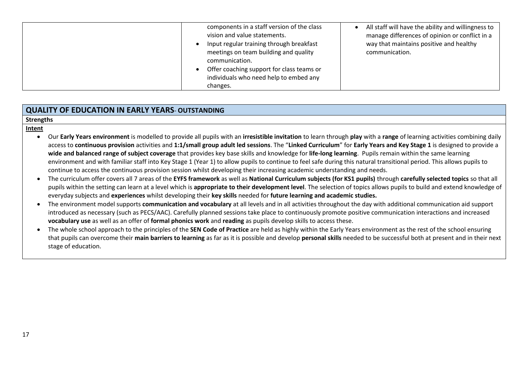| components in a staff version of the class<br>vision and value statements.<br>Input regular training through breakfast<br>meetings on team building and quality<br>communication.<br>Offer coaching support for class teams or<br>individuals who need help to embed any<br>changes. | All staff will have the ability and willingness to<br>manage differences of opinion or conflict in a<br>way that maintains positive and healthy<br>communication. |
|--------------------------------------------------------------------------------------------------------------------------------------------------------------------------------------------------------------------------------------------------------------------------------------|-------------------------------------------------------------------------------------------------------------------------------------------------------------------|
|--------------------------------------------------------------------------------------------------------------------------------------------------------------------------------------------------------------------------------------------------------------------------------------|-------------------------------------------------------------------------------------------------------------------------------------------------------------------|

## **QUALITY OF EDUCATION IN EARLY YEARS**- **OUTSTANDING**

### **Strengths**

### **Intent**

- Our **Early Years environment** is modelled to provide all pupils with an **irresistible invitation** to learn through **play** with a **range** of learning activities combining daily access to **continuous provision** activities and **1:1/small group adult led sessions**. The "**Linked Curriculum**" for **Early Years and Key Stage 1** is designed to provide a **wide and balanced range of subject coverage** that provides key base skills and knowledge for **life-long learning**. Pupils remain within the same learning environment and with familiar staff into Key Stage 1 (Year 1) to allow pupils to continue to feel safe during this natural transitional period. This allows pupils to continue to access the continuous provision session whilst developing their increasing academic understanding and needs.
- The curriculum offer covers all 7 areas of the **EYFS framework** as well as **National Curriculum subjects (for KS1 pupils)** through **carefully selected topics** so that all pupils within the setting can learn at a level which is **appropriate to their development level**. The selection of topics allows pupils to build and extend knowledge of everyday subjects and **experiences** whilst developing their **key skills** needed for **future learning and academic studies.**
- The environment model supports **communication and vocabulary** at all levels and in all activities throughout the day with additional communication aid support introduced as necessary (such as PECS/AAC). Carefully planned sessions take place to continuously promote positive communication interactions and increased **vocabulary use** as well as an offer of **formal phonics work** and **reading** as pupils develop skills to access these.
- The whole school approach to the principles of the **SEN Code of Practice** are held as highly within the Early Years environment as the rest of the school ensuring that pupils can overcome their **main barriers to learning** as far as it is possible and develop **personal skills** needed to be successful both at present and in their next stage of education.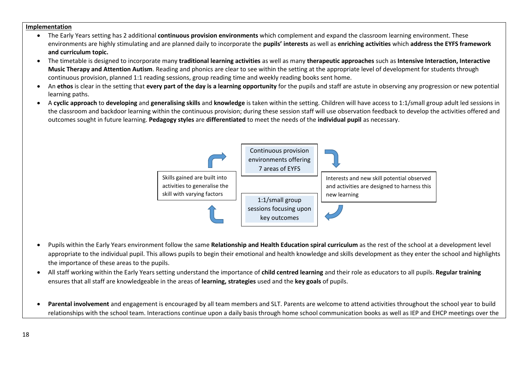### **Implementation**

- The Early Years setting has 2 additional **continuous provision environments** which complement and expand the classroom learning environment. These environments are highly stimulating and are planned daily to incorporate the **pupils' interests** as well as **enriching activities** which **address the EYFS framework and curriculum topic.**
- The timetable is designed to incorporate many **traditional learning activities** as well as many **therapeutic approaches** such as **Intensive Interaction, Interactive Music Therapy and Attention Autism**. Reading and phonics are clear to see within the setting at the appropriate level of development for students through continuous provision, planned 1:1 reading sessions, group reading time and weekly reading books sent home.
- An **ethos** is clear in the setting that **every part of the day is a learning opportunity** for the pupils and staff are astute in observing any progression or new potential learning paths.
- A **cyclic approach** to **developing** and **generalising skills** and **knowledge** is taken within the setting. Children will have access to 1:1/small group adult led sessions in the classroom and backdoor learning within the continuous provision; during these session staff will use observation feedback to develop the activities offered and outcomes sought in future learning. **Pedagogy styles** are **differentiated** to meet the needs of the **individual pupil** as necessary.



- Pupils within the Early Years environment follow the same **Relationship and Health Education spiral curriculum** as the rest of the school at a development level appropriate to the individual pupil. This allows pupils to begin their emotional and health knowledge and skills development as they enter the school and highlights the importance of these areas to the pupils.
- All staff working within the Early Years setting understand the importance of **child centred learning** and their role as educators to all pupils. **Regular training** ensures that all staff are knowledgeable in the areas of **learning, strategies** used and the **key goals** of pupils.
- **Parental involvement** and engagement is encouraged by all team members and SLT. Parents are welcome to attend activities throughout the school year to build relationships with the school team. Interactions continue upon a daily basis through home school communication books as well as IEP and EHCP meetings over the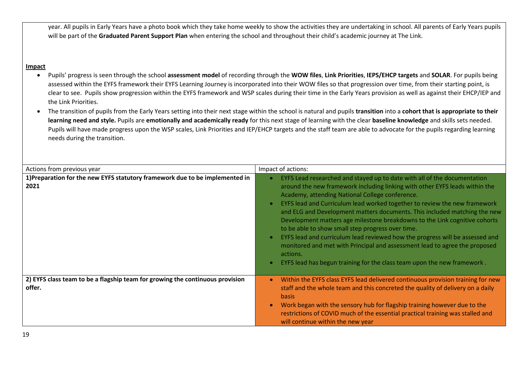year. All pupils in Early Years have a photo book which they take home weekly to show the activities they are undertaking in school. All parents of Early Years pupils will be part of the **Graduated Parent Support Plan** when entering the school and throughout their child's academic journey at The Link.

## **Impact**

- Pupils' progress is seen through the school **assessment model** of recording through the **WOW files**, **Link Priorities**, **IEPS/EHCP targets** and **SOLAR**. For pupils being assessed within the EYFS framework their EYFS Learning Journey is incorporated into their WOW files so that progression over time, from their starting point, is clear to see. Pupils show progression within the EYFS framework and WSP scales during their time in the Early Years provision as well as against their EHCP/IEP and the Link Priorities.
- The transition of pupils from the Early Years setting into their next stage within the school is natural and pupils **transition** into a **cohort that is appropriate to their learning need and style.** Pupils are **emotionally and academically ready** for this next stage of learning with the clear **baseline knowledge** and skills sets needed. Pupils will have made progress upon the WSP scales, Link Priorities and IEP/EHCP targets and the staff team are able to advocate for the pupils regarding learning needs during the transition.

| Actions from previous year                                                              | Impact of actions:                                                                                                                                                                                                                                                                                                                                                                                                                                                                                                                                                                                                                                                                                                                                                                          |
|-----------------------------------------------------------------------------------------|---------------------------------------------------------------------------------------------------------------------------------------------------------------------------------------------------------------------------------------------------------------------------------------------------------------------------------------------------------------------------------------------------------------------------------------------------------------------------------------------------------------------------------------------------------------------------------------------------------------------------------------------------------------------------------------------------------------------------------------------------------------------------------------------|
| 1) Preparation for the new EYFS statutory framework due to be implemented in<br>2021    | EYFS Lead researched and stayed up to date with all of the documentation<br>around the new framework including linking with other EYFS leads within the<br>Academy, attending National College conference.<br>EYFS lead and Curriculum lead worked together to review the new framework<br>$\bullet$<br>and ELG and Development matters documents. This included matching the new<br>Development matters age milestone breakdowns to the Link cognitive cohorts<br>to be able to show small step progress over time.<br>EYFS lead and curriculum lead reviewed how the progress will be assessed and<br>$\bullet$<br>monitored and met with Principal and assessment lead to agree the proposed<br>actions.<br>EYFS lead has begun training for the class team upon the new framework.<br>٠ |
| 2) EYFS class team to be a flagship team for growing the continuous provision<br>offer. | Within the EYFS class EYFS lead delivered continuous provision training for new<br>$\bullet$<br>staff and the whole team and this concreted the quality of delivery on a daily<br><b>basis</b><br>Work began with the sensory hub for flagship training however due to the<br>$\bullet$<br>restrictions of COVID much of the essential practical training was stalled and<br>will continue within the new year                                                                                                                                                                                                                                                                                                                                                                              |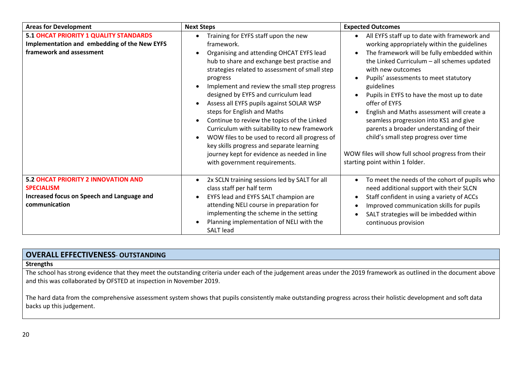| <b>Areas for Development</b>                                                                                                   | <b>Next Steps</b>                                                                                                                                                                                                                                                                                                                                                                                                                                                                                                                                                                                                                                                                      | <b>Expected Outcomes</b>                                                                                                                                                                                                                                                                                                                                                                                                                                                                                                                                                                                                 |
|--------------------------------------------------------------------------------------------------------------------------------|----------------------------------------------------------------------------------------------------------------------------------------------------------------------------------------------------------------------------------------------------------------------------------------------------------------------------------------------------------------------------------------------------------------------------------------------------------------------------------------------------------------------------------------------------------------------------------------------------------------------------------------------------------------------------------------|--------------------------------------------------------------------------------------------------------------------------------------------------------------------------------------------------------------------------------------------------------------------------------------------------------------------------------------------------------------------------------------------------------------------------------------------------------------------------------------------------------------------------------------------------------------------------------------------------------------------------|
| 5.1 OHCAT PRIORITY 1 QUALITY STANDARDS<br>Implementation and embedding of the New EYFS<br>framework and assessment             | Training for EYFS staff upon the new<br>framework.<br>Organising and attending OHCAT EYFS lead<br>hub to share and exchange best practise and<br>strategies related to assessment of small step<br>progress<br>Implement and review the small step progress<br>designed by EYFS and curriculum lead<br>Assess all EYFS pupils against SOLAR WSP<br>steps for English and Maths<br>Continue to review the topics of the Linked<br>$\bullet$<br>Curriculum with suitability to new framework<br>WOW files to be used to record all progress of<br>$\bullet$<br>key skills progress and separate learning<br>journey kept for evidence as needed in line<br>with government requirements. | All EYFS staff up to date with framework and<br>working appropriately within the guidelines<br>The framework will be fully embedded within<br>$\bullet$<br>the Linked Curriculum - all schemes updated<br>with new outcomes<br>Pupils' assessments to meet statutory<br>guidelines<br>Pupils in EYFS to have the most up to date<br>offer of EYFS<br>English and Maths assessment will create a<br>seamless progression into KS1 and give<br>parents a broader understanding of their<br>child's small step progress over time<br>WOW files will show full school progress from their<br>starting point within 1 folder. |
| <b>5.2 OHCAT PRIORITY 2 INNOVATION AND</b><br><b>SPECIALISM</b><br>Increased focus on Speech and Language and<br>communication | 2x SCLN training sessions led by SALT for all<br>$\bullet$<br>class staff per half term<br>EYFS lead and EYFS SALT champion are<br>$\bullet$<br>attending NELI course in preparation for<br>implementing the scheme in the setting<br>Planning implementation of NELI with the<br><b>SALT</b> lead                                                                                                                                                                                                                                                                                                                                                                                     | To meet the needs of the cohort of pupils who<br>need additional support with their SLCN<br>Staff confident in using a variety of ACCs<br>$\bullet$<br>Improved communication skills for pupils<br>$\bullet$<br>SALT strategies will be imbedded within<br>continuous provision                                                                                                                                                                                                                                                                                                                                          |

## **OVERALL EFFECTIVENESS**- **OUTSTANDING**

## **Strengths**

The school has strong evidence that they meet the outstanding criteria under each of the judgement areas under the 2019 framework as outlined in the document above and this was collaborated by OFSTED at inspection in November 2019.

The hard data from the comprehensive assessment system shows that pupils consistently make outstanding progress across their holistic development and soft data backs up this judgement.